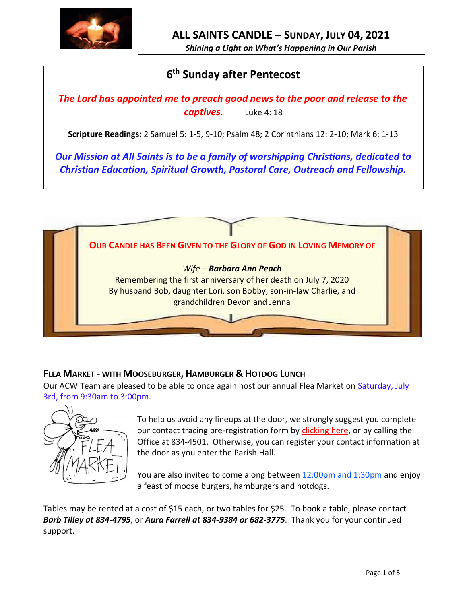

*Shining a Light on What's Happening in Our Parish*

# **6 th Sunday after Pentecost**

*The Lord has appointed me to preach good news to the poor and release to the captives.* Luke 4: 18

**Scripture Readings:** 2 Samuel 5: 1-5, 9-10; Psalm 48; 2 Corinthians 12: 2-10; Mark 6: 1-13

*Our Mission at All Saints is to be a family of worshipping Christians, dedicated to Christian Education, Spiritual Growth, Pastoral Care, Outreach and Fellowship.*



# **FLEA MARKET - WITH MOOSEBURGER, HAMBURGER & HOTDOG LUNCH**

Our ACW Team are pleased to be able to once again host our annual Flea Market on Saturday, July 3rd, from 9:30am to 3:00pm.



To help us avoid any lineups at the door, we strongly suggest you complete our contact tracing pre-registration form by [clicking here,](http://allsaintsparish.ca/covid-pre-registration-form_1) or by calling the Office at 834-4501. Otherwise, you can register your contact information at the door as you enter the Parish Hall.

You are also invited to come along between 12:00pm and 1:30pm and enjoy a feast of moose burgers, hamburgers and hotdogs.

Tables may be rented at a cost of \$15 each, or two tables for \$25. To book a table, please contact *Barb Tilley at 834-4795*, or *Aura Farrell at 834-9384 or 682-3775*. Thank you for your continued support.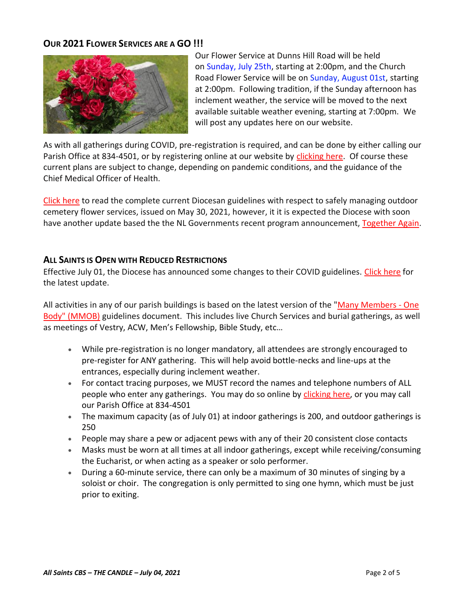## **OUR 2021 FLOWER SERVICES ARE A GO !!!**



Our Flower Service at Dunns Hill Road will be held on Sunday, July 25th, starting at 2:00pm, and the Church Road Flower Service will be on Sunday, August 01st, starting at 2:00pm. Following tradition, if the Sunday afternoon has inclement weather, the service will be moved to the next available suitable weather evening, starting at 7:00pm. We will post any updates here on our website.

As with all gatherings during COVID, pre-registration is required, and can be done by either calling our Parish Office at 834-4501, or by registering online at our website by [clicking here.](http://allsaintsparish.ca/covid-pre-registration-form) Of course these current plans are subject to change, depending on pandemic conditions, and the guidance of the Chief Medical Officer of Health.

[Click here](https://anglicanenl.net/home/wp-content/uploads/2021/05/Guidelines-for-Outdoor-Flower-services-May-2021.pdf) to read the complete current Diocesan guidelines with respect to safely managing outdoor cemetery flower services, issued on May 30, 2021, however, it it is expected the Diocese with soon have another update based the the NL Governments recent program announcement, [Together Again.](https://www.gov.nl.ca/covid-19/together-again/)

## **ALL SAINTS IS OPEN WITH REDUCED RESTRICTIONS**

Effective July 01, the Diocese has announced some changes to their COVID guidelines. [Click here](http://allsaintsparish.ca/document_library/COVID-19/210630%20COVID%2019%20Update%20Effective%20July%201.pdf) for the latest update.

All activities in any of our parish buildings is based on the latest version of the ["Many Members -](https://anglicanenl.net/home/wp-content/uploads/2021/02/Many-Members-One-Body-February-2021.pdf) One [Body" \(MMOB\)](https://anglicanenl.net/home/wp-content/uploads/2021/02/Many-Members-One-Body-February-2021.pdf) guidelines document. This includes live Church Services and burial gatherings, as well as meetings of Vestry, ACW, Men's Fellowship, Bible Study, etc…

- While pre-registration is no longer mandatory, all attendees are strongly encouraged to pre-register for ANY gathering. This will help avoid bottle-necks and line-ups at the entrances, especially during inclement weather.
- For contact tracing purposes, we MUST record the names and telephone numbers of ALL people who enter any gatherings. You may do so online by [clicking here,](http://allsaintsparish.ca/covid-pre-registration-form) or you may call our Parish Office at 834-4501
- The maximum capacity (as of July 01) at indoor gatherings is 200, and outdoor gatherings is 250
- People may share a pew or adjacent pews with any of their 20 consistent close contacts
- Masks must be worn at all times at all indoor gatherings, except while receiving/consuming the Eucharist, or when acting as a speaker or solo performer.
- During a 60-minute service, there can only be a maximum of 30 minutes of singing by a soloist or choir. The congregation is only permitted to sing one hymn, which must be just prior to exiting.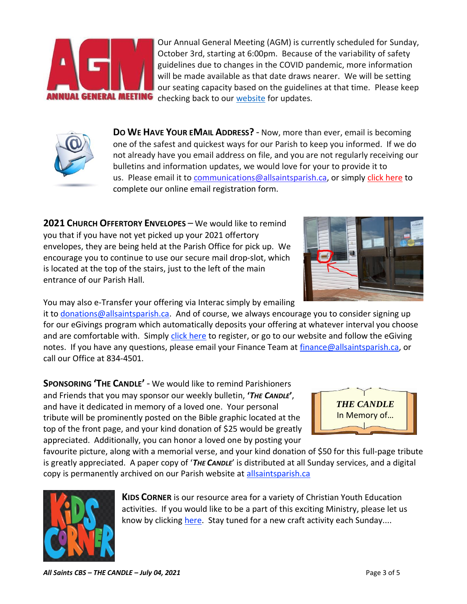Our Annual General Meeting (AGM) is currently scheduled for Sunday, October 3rd, starting at 6:00pm. Because of the variability of safety guidelines due to changes in the COVID pandemic, more information will be made available as that date draws nearer. We will be setting our seating capacity based on the guidelines at that time. Please keep checking back to our [website](/Users/ralphfagan/Documents/All%20Saints%20Parish/Candle/ASP%202021%20Candle/allsaintsparish.ca) for updates.

**DO WE HAVE YOUR EMAIL ADDRESS?** - Now, more than ever, email is becoming one of the safest and quickest ways for our Parish to keep you informed. If we do not already have you email address on file, and you are not regularly receiving our bulletins and information updates, we would love for your to provide it to us. Please email it t[o communications@allsaintsparish.ca,](mailto:communications@allsaintsparish.ca?subject=eMail%20Address%20Update) or simply [click here](http://allsaintsparish.ca/email_updates) to complete our online email registration form.

**2021 CHURCH OFFERTORY ENVELOPES** – We would like to remind you that if you have not yet picked up your 2021 offertory envelopes, they are being held at the Parish Office for pick up. We encourage you to continue to use our secure mail drop-slot, which is located at the top of the stairs, just to the left of the main entrance of our Parish Hall.

You may also e-Transfer your offering via Interac simply by emailing

it to [donations@allsaintsparish.ca.](mailto:donations@allsaintsparish.ca) And of course, we always encourage you to consider signing up for our eGivings program which automatically deposits your offering at whatever interval you choose and are comfortable with. Simply [click here](http://allsaintsparish.ca/egiving-online-information-form) to register, or go to our website and follow the eGiving notes. If you have [any](https://wfsites-to.websitecreatorprotool.com/870a5dd5.com/Admin/%7BSK_NODEID__22939341__SK%7D) questions, please email your Finance Team at [finance@allsaintsparish.ca,](mailto:finance@allsaintsparish.ca) or call our Office at 834-4501.

**SPONSORING 'THE CANDLE'** - We would like to remind Parishioners and Friends that you may sponsor our weekly bulletin, **'***THE CANDLE***'**, and have it dedicated in memory of a loved one. Your personal tribute will be prominently posted on the Bible graphic located at the top of the front page, and your kind donation of \$25 would be greatly appreciated. Additionally, you can honor a loved one by posting your

favourite picture, along with a memorial verse, and your kind donation of \$50 for this full-page tribute is greatly appreciated. A paper copy of '*THE CANDLE*' is distributed at all Sunday services, and a digital copy is permanently archived on our Parish website at [allsaintsparish.ca](http://allsaintsparish.ca/thecandle.html)

> **KIDS CORNER** is our resource area for a variety of Christian Youth Education activities. If you would like to be a part of this exciting Ministry, please let us know by clicking [here.](http://allsaintsparish.ca/index.html#comments) Stay tuned for a new craft activity each Sunday....







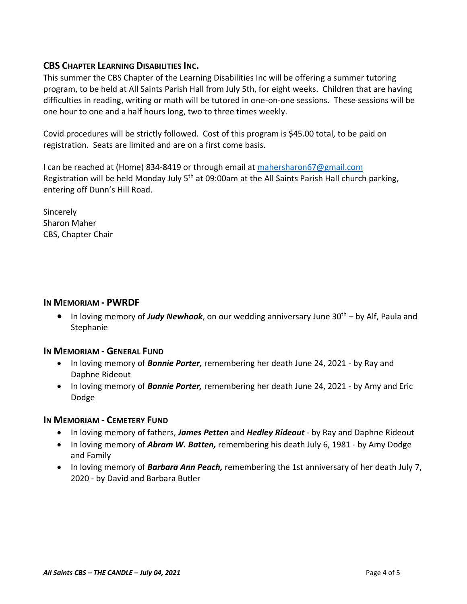## **CBS CHAPTER LEARNING DISABILITIES INC.**

This summer the CBS Chapter of the Learning Disabilities Inc will be offering a summer tutoring program, to be held at All Saints Parish Hall from July 5th, for eight weeks. Children that are having difficulties in reading, writing or math will be tutored in one-on-one sessions. These sessions will be one hour to one and a half hours long, two to three times weekly.

Covid procedures will be strictly followed. Cost of this program is \$45.00 total, to be paid on registration. Seats are limited and are on a first come basis.

I can be reached at (Home) 834-8419 or through email at [mahersharon67@gmail.com](mailto:mahersharon67@gmail.com) Registration will be held Monday July  $5<sup>th</sup>$  at 09:00am at the All Saints Parish Hall church parking, entering off Dunn's Hill Road.

**Sincerely** Sharon Maher CBS, Chapter Chair

#### **IN MEMORIAM - PWRDF**

• In loving memory of *Judy Newhook*, on our wedding anniversary June 30th – by Alf, Paula and **Stephanie** 

## **IN MEMORIAM - GENERAL FUND**

- In loving memory of *Bonnie Porter,* remembering her death June 24, 2021 by Ray and Daphne Rideout
- In loving memory of *Bonnie Porter,* remembering her death June 24, 2021 by Amy and Eric Dodge

## **IN MEMORIAM - CEMETERY FUND**

- In loving memory of fathers, *James Petten* and *Hedley Rideout* by Ray and Daphne Rideout
- In loving memory of *Abram W. Batten,* remembering his death July 6, 1981 by Amy Dodge and Family
- In loving memory of *Barbara Ann Peach,* remembering the 1st anniversary of her death July 7, 2020 - by David and Barbara Butler